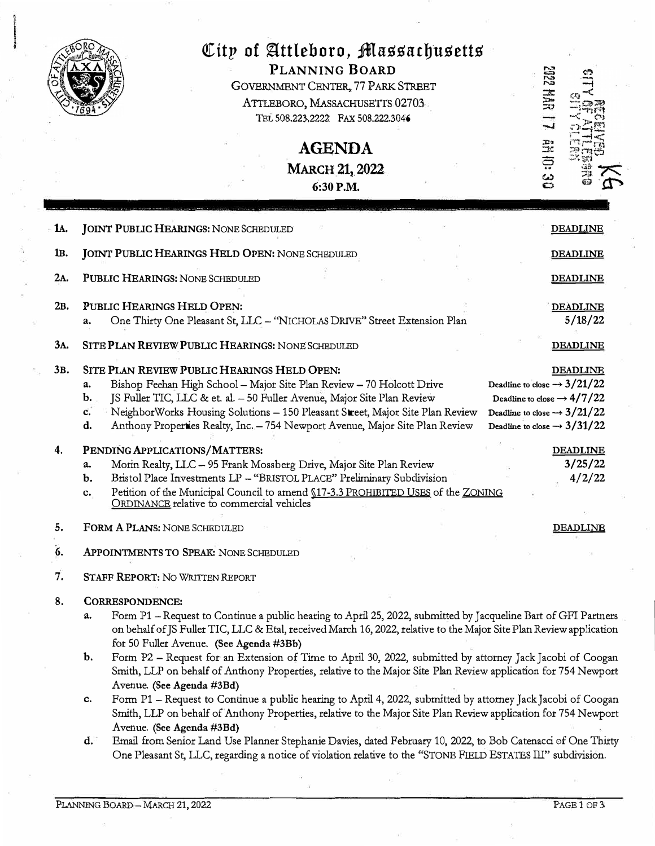

# $C$ ity of Attleboro, *Massachusetts* **PLANNING BOARD**

GOVERNMENT CENTER, 77 PARK STREET ATTLEBORO, MASSACHUSETTS 02703 TEL 508.223.2222 FAX 508.222.3046

> **AGENDA**  MARCH 21, 2022 6:30P.M.

| 1A. | <b>JOINT PUBLIC HEARINGS: NONE SCHEDULED</b>                                                                                                                                                                                                                                                                                                                                             | <b>DEADLINE</b>                                                                                                                                                                            |
|-----|------------------------------------------------------------------------------------------------------------------------------------------------------------------------------------------------------------------------------------------------------------------------------------------------------------------------------------------------------------------------------------------|--------------------------------------------------------------------------------------------------------------------------------------------------------------------------------------------|
| 1B. | <b>JOINT PUBLIC HEARINGS HELD OPEN: NONE SCHEDULED</b>                                                                                                                                                                                                                                                                                                                                   | <b>DEADLINE</b>                                                                                                                                                                            |
| 2A. | PUBLIC HEARINGS: NONE SCHEDULED                                                                                                                                                                                                                                                                                                                                                          | <b>DEADLINE</b>                                                                                                                                                                            |
| 2B. | PUBLIC HEARINGS HELD OPEN:<br>One Thirty One Pleasant St, LLC - "NICHOLAS DRIVE" Street Extension Plan<br>a.                                                                                                                                                                                                                                                                             | <b>DEADLINE</b><br>5/18/22                                                                                                                                                                 |
| 3A. | SITE PLAN REVIEW PUBLIC HEARINGS: NONE SCHEDULED                                                                                                                                                                                                                                                                                                                                         | <b>DEADLINE</b>                                                                                                                                                                            |
| 3в. | SITE PLAN REVIEW PUBLIC HEARINGS HELD OPEN:<br>Bishop Feehan High School - Major Site Plan Review - 70 Holcott Drive<br>a.<br>JS Fuller TIC, LLC & et. al. - 50 Fuller Avenue, Major Site Plan Review<br>b.<br>NeighborWorks Housing Solutions - 150 Pleasant Street, Major Site Plan Review<br>c.<br>d.<br>Anthony Properties Realty, Inc. - 754 Newport Avenue, Major Site Plan Review | <b>DEADLINE</b><br>Deadline to close $\rightarrow$ 3/21/22<br>Deadline to close $\rightarrow$ 4/7/22<br>Deadline to close $\rightarrow 3/21/22$<br>Deadline to close $\rightarrow$ 3/31/22 |
| 4.  | PENDING APPLICATIONS/MATTERS:<br>Morin Realty, LLC - 95 Frank Mossberg Drive, Major Site Plan Review<br>a.<br>Bristol Place Investments LP - "BRISTOL PLACE" Preliminary Subdivision<br>$\mathbf{b}$ .<br>Petition of the Municipal Council to amend §17-3.3 PROHIBITED USES of the ZONING<br>c.<br>ORDINANCE relative to commercial vehicles                                            | <b>DEADLINE</b><br>3/25/22<br>4/2/22                                                                                                                                                       |
| 5.  | FORM A PLANS: NONE SCHEDULED                                                                                                                                                                                                                                                                                                                                                             | <b>DEADLINE</b>                                                                                                                                                                            |
| 6.  | APPOINTMENTS TO SPEAK: NONE SCHEDULED                                                                                                                                                                                                                                                                                                                                                    |                                                                                                                                                                                            |
| 7.  | STAFF REPORT: NO WRITTEN REPORT                                                                                                                                                                                                                                                                                                                                                          |                                                                                                                                                                                            |
| 8.  | CORRESPONDENCE:                                                                                                                                                                                                                                                                                                                                                                          |                                                                                                                                                                                            |
|     | Form P1 - Request to Continue a public hearing to April 25, 2022, submitted by Jacqueline Bart of GFI Partners<br>a.<br>on behalf of JS Fuller TIC, LLC & Etal, received March 16, 2022, relative to the Major Site Plan Review application<br>for 50 Fuller Avenue. (See Agenda #3Bb)                                                                                                   |                                                                                                                                                                                            |
|     | Form P2 - Request for an Extension of Time to April 30, 2022, submitted by attorney Jack Jacobi of Coogan<br>Smith, LLP on behalf of Anthony Properties, relative to the Major Site Plan Review application for 754 Newport<br>Avenue. (See Agenda #3Bd)                                                                                                                                 |                                                                                                                                                                                            |
|     | Form P1 - Request to Continue a public hearing to April 4, 2022, submitted by attorney Jack Jacobi of Coogan<br>c.<br>Smith, LLP on behalf of Anthony Properties, relative to the Major Site Plan Review application for 754 Newport                                                                                                                                                     |                                                                                                                                                                                            |
|     | Avenue. (See Agenda #3Bd)<br>Email from Senior Land Use Planner Stephanie Davies, dated February 10, 2022, to Bob Catenacci of One Thirty<br>d.<br>One Pleasant St, LLC, regarding a notice of violation relative to the "STONE FIELD ESTATES III" subdivision.                                                                                                                          |                                                                                                                                                                                            |

**2022 MAR** 

**4710:30**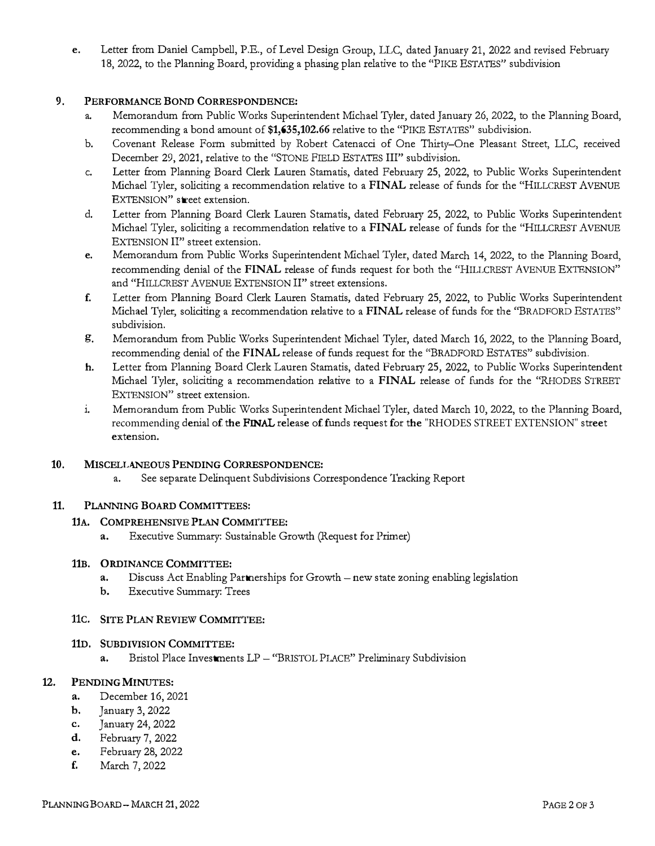e. Letter from Daniel Campbell, P.E., of Level Design Group, LLC, dated January 21, 2022 and revised Febmary 18, 2022, to the Planning Board, providing a phasing plan relative to the "PIKE ESTATES" subdivision

### 9. PERFORMANCE BOND CORRESPONDENCE:

- a. Memorandum from Public Works Superintendent Michael Tyler, dated January 26, 2022, to the Planning Board, recommending a bond amount of \$1,635,102.66 relative to the "PIKE ESTATES" subdivision.
- b. Covenant Release Form submitted by Robert Catenacci of One Thirty-One Pleasant Street, LLC, received December 29, 2021, relative to the "STONE FIELD ESTATES III" subdivision.
- c. Letter from Planning Board Clerk Lauren Stamatis, dated February 25, 2022, to Public Works Superintendent Michael Tyler, soliciting a recommendation relative to a FINAL release of funds for the "HILLCREST AVENUE EXTENSION" street extension.
- d. Letter from Planning Board Clerk Lauren Stamatis, dated Febmary 25, 2022, to Public Works Superintendent Michael Tyler, soliciting a recommendation relative to a FINAL release of funds for the "HILLCREST AVENUE EXTENSION II" street extension.
- e. Memorandum from Public Works Superintendent Michael Tyler, dated March 14, 2022, to the Planning Board, recommending denial of the FINAL release of funds request for both the "HILLCREST AVENUE EXTENSION" and "HILLCREST AVENUE EXTENSION II" street extensions.
- f. Letter from Planning Board Clerk Lauren Stamatis, dated Febtuary 25, 2022, to Public Works Superintendent Michael Tyler, soliciting a recommendation relative to a FINAL release of funds for the "BRADFORD ESTATES" subdivision.
- g. Memorandum from Public Works Superintendent Michael Tyler, dated March 16, 2022, to the Planning Board, recommending denial of the FINAL release of funds request for the "BRADFORD ESTATES" subdivision.
- h. Letter from Planning Board Clerk Lauren Stamatis, dated Febmary 25, 2022, to Public Works Superintendent Michael Tyler, soliciting a recommendation relative to a FINAL release of funds for the "RHODES STREET EXTENSION" street extension.
- i. Memorandum from Public Works Superintendent Michael Tyler, dated March 10, 2022, to the Planning Board, recommending denial of the FINAL release of funds request for the "RHODES STREET EXTENSION" street extension.

# 10. MISCELLANEOUS PENDING CORRESPONDENCE:

a. See separate Delinquent Subdivisions Correspondence Tracking Report

# 11. PLANNING BOARD COMMITTEES:

#### 11A. COMPREHENSIVE PLAN COMMITTEE:

a. Executive Summary: Sustainable Growth (Request for Primer)

#### 11B. ORDINANCE COMMITTEE:

- a. Discuss Act Enabling Partnerships for Growth new state zoning enabling legislation
- b. Executive Summary: Trees

#### 11C. SITE PLAN REVIEW COMMITTEE:

#### 11D. SUBDIVISION COMMITTEE:

a. Bristol Place Investments LP - "BRISTOL PLACE" Preliminary Subdivision

#### 12. PENDING MINUTES:

- **a.** December 16, 2021<br>**b.** January 3, 2022
- January 3, 2022
- c. January 24, 2022
- **d.** February 7, 2022<br>**e.** February 28, 2023
- **e.** February 28, 2022<br>**f.** March 7, 2022
- March 7, 2022